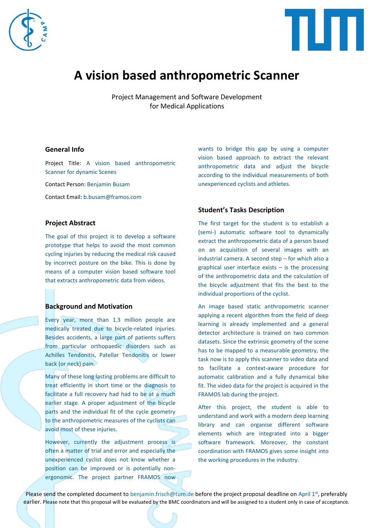



# **A vision based anthropometric Scanner**

Project Management and Software Development for Medical Applications

## **General Info**

Project Title: A vision based anthropometric Scanner for dynamic Scenes

Contact Person: Benjamin Busam

Contact Email: b.busam@framos.com

## **Project Abstract**

The goal of this project is to develop a software prototype that helps to avoid the most common cycling injuries by reducing the medical risk caused by incorrect posture on the bike. This is done by means of a computer vision based software tool that extracts anthropometric data from videos.

### **Background and Motivation**

Every year, more than 1.3 million people are medically treated due to bicycle-related injuries. Besides accidents, a large part of patients suffers from particular orthopaedic disorders such as Achilles Tendonitis, Patellar Tendonitis or lower back (or neck) pain.

Many of these long lasting problems are difficult to treat efficiently in short time or the diagnosis to facilitate a full recovery had had to be at a much earlier stage. A proper adjustment of the bicycle parts and the individual fit of the cycle geometry to the anthropometric measures of the cyclists can avoid most of these injuries.

However, currently the adjustment process is often a matter of trial and error and especially the unexperienced cyclist does not know whether a position can be improved or is potentially nonergonomic. The project partner FRAMOS now wants to bridge this gap by using a computer vision based approach to extract the relevant anthropometric data and adjust the bicycle according to the individual measurements of both unexperienced cyclists and athletes.

## **Student's Tasks Description**

The first target for the student is to establish a (semi-) automatic software tool to dynamically extract the anthropometric data of a person based on an acquisition of several images with an industrial camera. A second step – for which also a graphical user interface exists  $-$  is the processing of the anthropometric data and the calculation of the bicycle adjustment that fits the best to the individual proportions of the cyclist.

An image based static anthropometric scanner applying a recent algorithm from the field of deep learning is already implemented and a general detector architecture is trained on two common datasets. Since the extrinsic geometry of the scene has to be mapped to a measurable geometry, the task now is to apply this scanner to video data and to facilitate a context-aware procedure for automatic calibration and a fully dynamical bike fit. The video data for the project is acquired in the FRAMOS lab during the project.

After this project, the student is able to understand and work with a modern deep learning library and can organise different software elements which are integrated into a bigger software framework. Moreover, the constant coordination with FRAMOS gives some insight into the working procedures in the industry.

Please send the completed document to benjamin.frisch@tum.de before the project proposal deadline on April 1<sup>st</sup>, preferably earlier. Please note that this proposal will be evaluated by the BMC coordinators and will be assigned to a student only in case of acceptance.